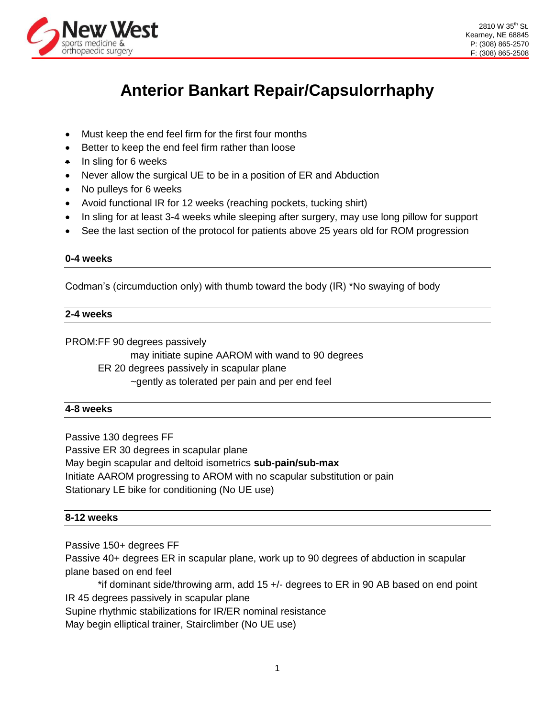

# **Anterior Bankart Repair/Capsulorrhaphy**

- Must keep the end feel firm for the first four months
- Better to keep the end feel firm rather than loose
- $\bullet$  In sling for 6 weeks
- Never allow the surgical UE to be in a position of ER and Abduction
- No pulleys for 6 weeks
- Avoid functional IR for 12 weeks (reaching pockets, tucking shirt)
- In sling for at least 3-4 weeks while sleeping after surgery, may use long pillow for support
- See the last section of the protocol for patients above 25 years old for ROM progression

#### **0-4 weeks**

Codman's (circumduction only) with thumb toward the body (IR) \*No swaying of body

# **2-4 weeks**

PROM:FF 90 degrees passively

may initiate supine AAROM with wand to 90 degrees

ER 20 degrees passively in scapular plane

~gently as tolerated per pain and per end feel

#### **4-8 weeks**

Passive 130 degrees FF Passive ER 30 degrees in scapular plane May begin scapular and deltoid isometrics **sub-pain/sub-max** Initiate AAROM progressing to AROM with no scapular substitution or pain Stationary LE bike for conditioning (No UE use)

# **8-12 weeks**

Passive 150+ degrees FF

Passive 40+ degrees ER in scapular plane, work up to 90 degrees of abduction in scapular plane based on end feel

\*if dominant side/throwing arm, add 15 +/- degrees to ER in 90 AB based on end point IR 45 degrees passively in scapular plane

Supine rhythmic stabilizations for IR/ER nominal resistance

May begin elliptical trainer, Stairclimber (No UE use)